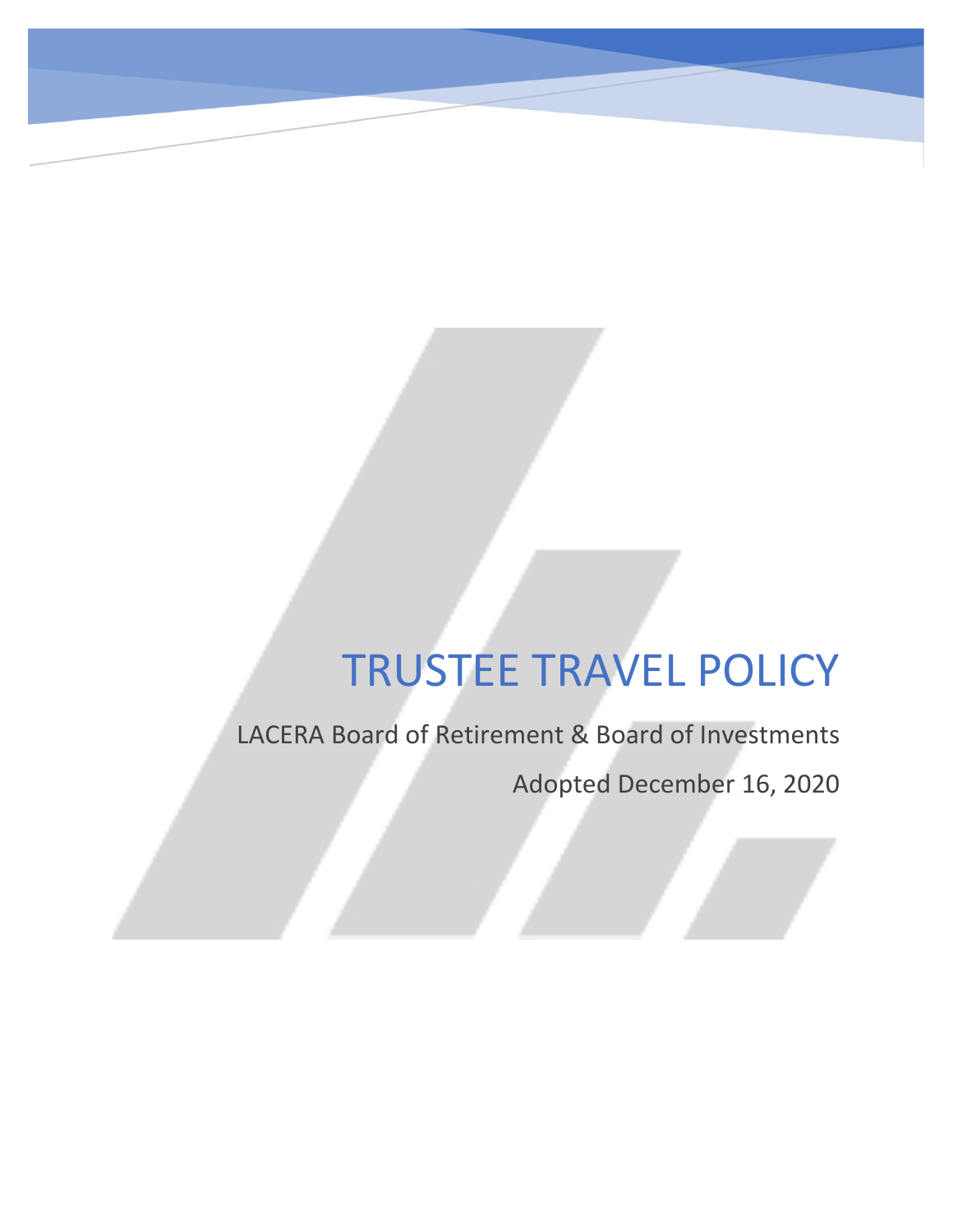LACERA Board of Retirement & Board of Investments

Adopted December 16, 2020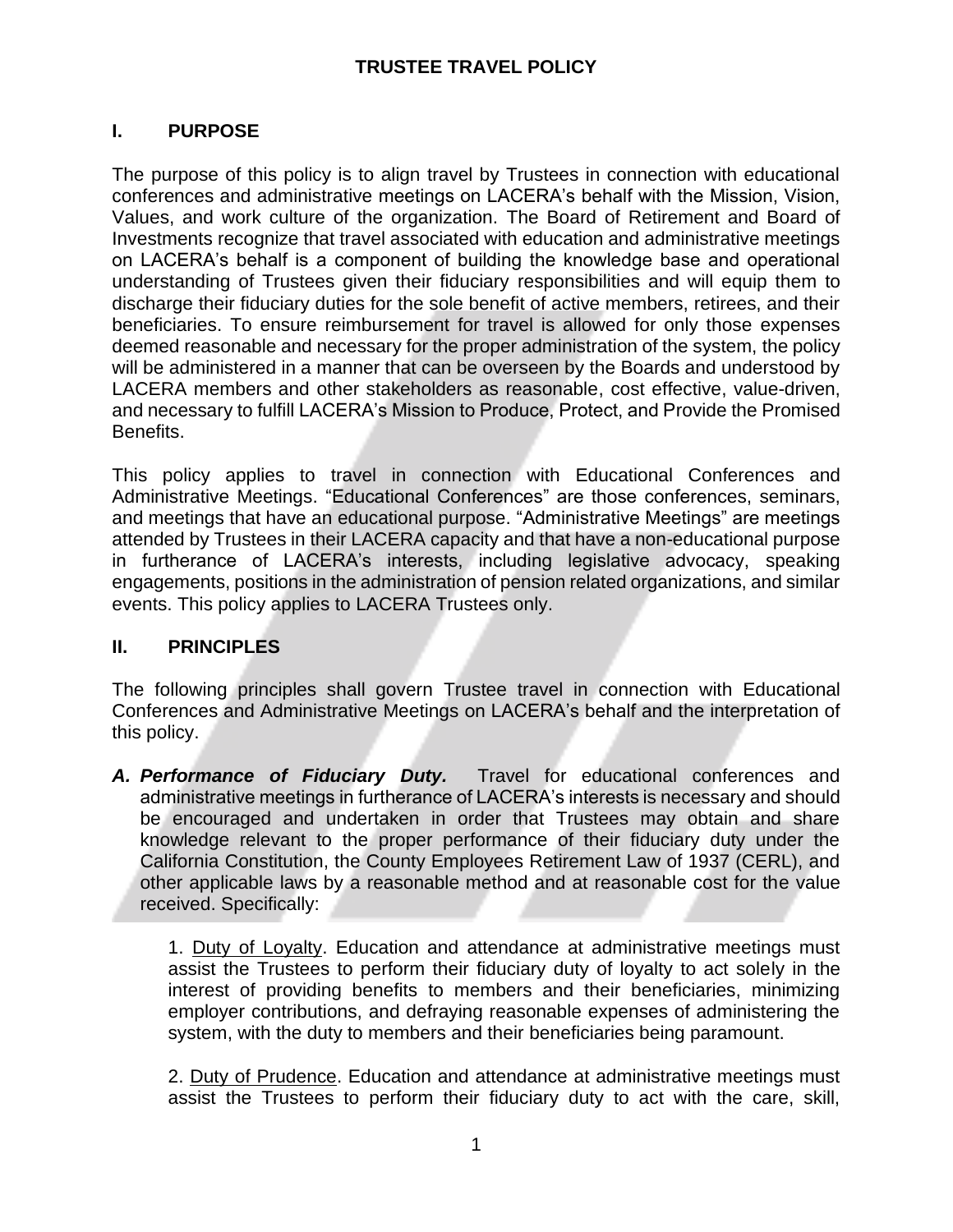# **I. PURPOSE**

The purpose of this policy is to align travel by Trustees in connection with educational conferences and administrative meetings on LACERA's behalf with the Mission, Vision, Values, and work culture of the organization. The Board of Retirement and Board of Investments recognize that travel associated with education and administrative meetings on LACERA's behalf is a component of building the knowledge base and operational understanding of Trustees given their fiduciary responsibilities and will equip them to discharge their fiduciary duties for the sole benefit of active members, retirees, and their beneficiaries. To ensure reimbursement for travel is allowed for only those expenses deemed reasonable and necessary for the proper administration of the system, the policy will be administered in a manner that can be overseen by the Boards and understood by LACERA members and other stakeholders as reasonable, cost effective, value-driven, and necessary to fulfill LACERA's Mission to Produce, Protect, and Provide the Promised Benefits.

This policy applies to travel in connection with Educational Conferences and Administrative Meetings. "Educational Conferences" are those conferences, seminars, and meetings that have an educational purpose. "Administrative Meetings" are meetings attended by Trustees in their LACERA capacity and that have a non-educational purpose in furtherance of LACERA's interests, including legislative advocacy, speaking engagements, positions in the administration of pension related organizations, and similar events. This policy applies to LACERA Trustees only.

## **II. PRINCIPLES**

The following principles shall govern Trustee travel in connection with Educational Conferences and Administrative Meetings on LACERA's behalf and the interpretation of this policy.

*A. Performance of Fiduciary Duty.* Travel for educational conferences and administrative meetings in furtherance of LACERA's interests is necessary and should be encouraged and undertaken in order that Trustees may obtain and share knowledge relevant to the proper performance of their fiduciary duty under the California Constitution, the County Employees Retirement Law of 1937 (CERL), and other applicable laws by a reasonable method and at reasonable cost for the value received. Specifically:

1. Duty of Loyalty. Education and attendance at administrative meetings must assist the Trustees to perform their fiduciary duty of loyalty to act solely in the interest of providing benefits to members and their beneficiaries, minimizing employer contributions, and defraying reasonable expenses of administering the system, with the duty to members and their beneficiaries being paramount.

2. Duty of Prudence. Education and attendance at administrative meetings must assist the Trustees to perform their fiduciary duty to act with the care, skill,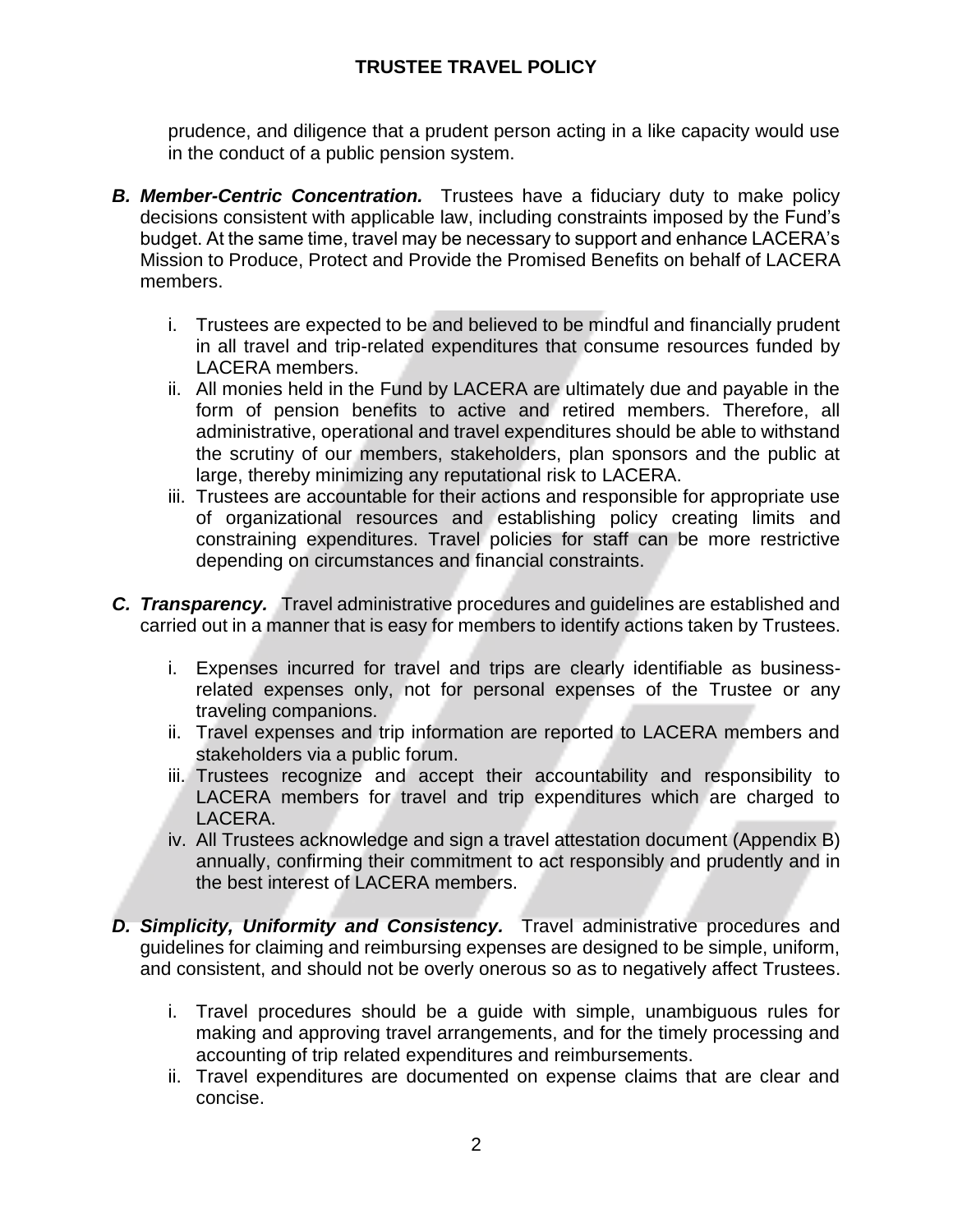prudence, and diligence that a prudent person acting in a like capacity would use in the conduct of a public pension system.

- *B. Member-Centric Concentration.* Trustees have a fiduciary duty to make policy decisions consistent with applicable law, including constraints imposed by the Fund's budget. At the same time, travel may be necessary to support and enhance LACERA's Mission to Produce, Protect and Provide the Promised Benefits on behalf of LACERA members.
	- i. Trustees are expected to be and believed to be mindful and financially prudent in all travel and trip-related expenditures that consume resources funded by LACERA members.
	- ii. All monies held in the Fund by LACERA are ultimately due and payable in the form of pension benefits to active and retired members. Therefore, all administrative, operational and travel expenditures should be able to withstand the scrutiny of our members, stakeholders, plan sponsors and the public at large, thereby minimizing any reputational risk to LACERA.
	- iii. Trustees are accountable for their actions and responsible for appropriate use of organizational resources and establishing policy creating limits and constraining expenditures. Travel policies for staff can be more restrictive depending on circumstances and financial constraints.
- *C. Transparency.* Travel administrative procedures and guidelines are established and carried out in a manner that is easy for members to identify actions taken by Trustees.
	- i. Expenses incurred for travel and trips are clearly identifiable as businessrelated expenses only, not for personal expenses of the Trustee or any traveling companions.
	- ii. Travel expenses and trip information are reported to LACERA members and stakeholders via a public forum.
	- iii. Trustees recognize and accept their accountability and responsibility to LACERA members for travel and trip expenditures which are charged to LACERA.
	- iv. All Trustees acknowledge and sign a travel attestation document (Appendix B) annually, confirming their commitment to act responsibly and prudently and in the best interest of LACERA members.
- *D. Simplicity, Uniformity and Consistency.* Travel administrative procedures and guidelines for claiming and reimbursing expenses are designed to be simple, uniform, and consistent, and should not be overly onerous so as to negatively affect Trustees.
	- i. Travel procedures should be a guide with simple, unambiguous rules for making and approving travel arrangements, and for the timely processing and accounting of trip related expenditures and reimbursements.
	- ii. Travel expenditures are documented on expense claims that are clear and concise.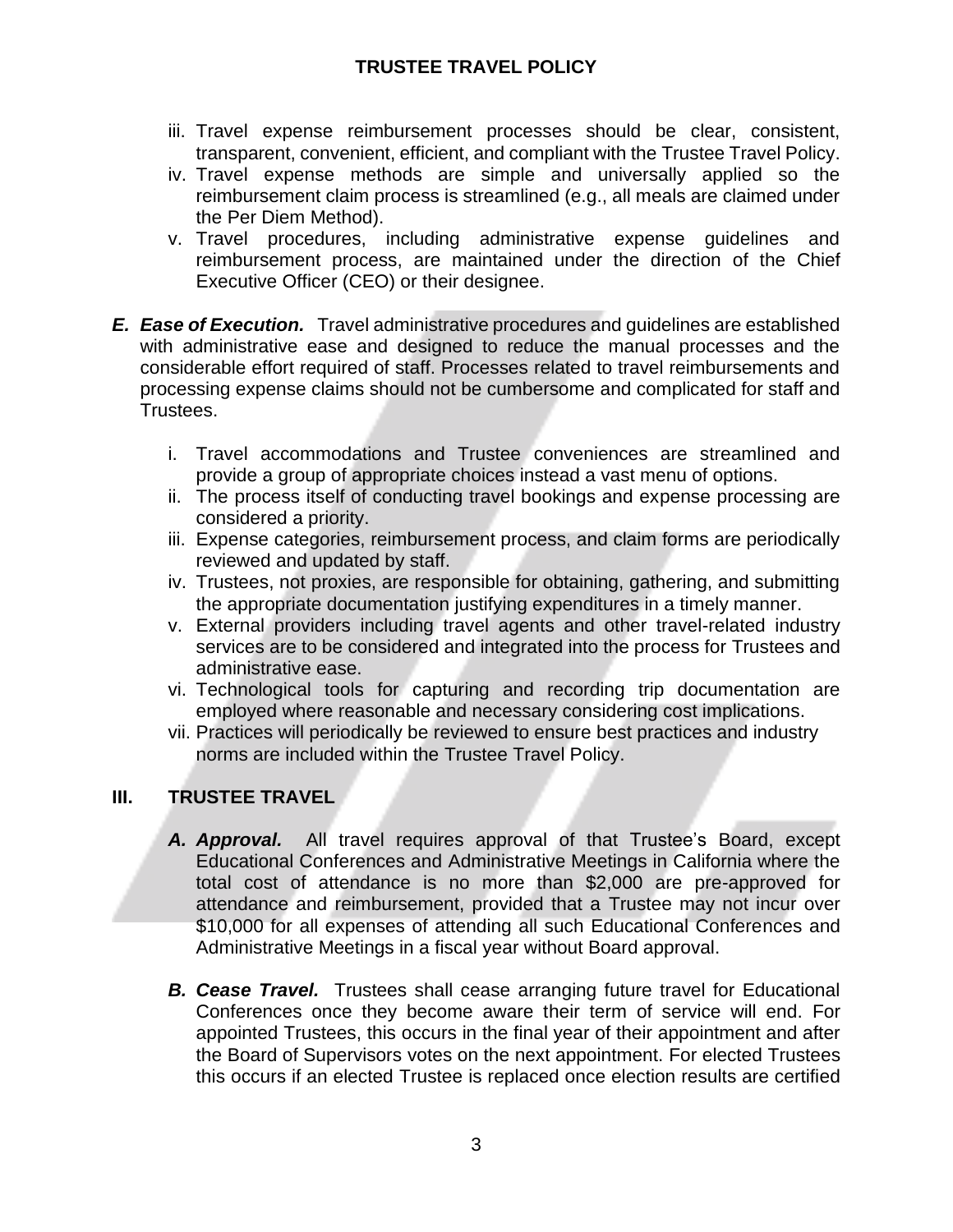- iii. Travel expense reimbursement processes should be clear, consistent, transparent, convenient, efficient, and compliant with the Trustee Travel Policy.
- iv. Travel expense methods are simple and universally applied so the reimbursement claim process is streamlined (e.g., all meals are claimed under the Per Diem Method).
- v. Travel procedures, including administrative expense guidelines and reimbursement process, are maintained under the direction of the Chief Executive Officer (CEO) or their designee.
- *E. Ease of Execution.* Travel administrative procedures and guidelines are established with administrative ease and designed to reduce the manual processes and the considerable effort required of staff. Processes related to travel reimbursements and processing expense claims should not be cumbersome and complicated for staff and Trustees.
	- i. Travel accommodations and Trustee conveniences are streamlined and provide a group of appropriate choices instead a vast menu of options.
	- ii. The process itself of conducting travel bookings and expense processing are considered a priority.
	- iii. Expense categories, reimbursement process, and claim forms are periodically reviewed and updated by staff.
	- iv. Trustees, not proxies, are responsible for obtaining, gathering, and submitting the appropriate documentation justifying expenditures in a timely manner.
	- v. External providers including travel agents and other travel-related industry services are to be considered and integrated into the process for Trustees and administrative ease.
	- vi. Technological tools for capturing and recording trip documentation are employed where reasonable and necessary considering cost implications.
	- vii. Practices will periodically be reviewed to ensure best practices and industry norms are included within the Trustee Travel Policy.

## **III. TRUSTEE TRAVEL**

- *A. Approval.* All travel requires approval of that Trustee's Board, except Educational Conferences and Administrative Meetings in California where the total cost of attendance is no more than \$2,000 are pre-approved for attendance and reimbursement, provided that a Trustee may not incur over \$10,000 for all expenses of attending all such Educational Conferences and Administrative Meetings in a fiscal year without Board approval.
- *B. Cease Travel.* Trustees shall cease arranging future travel for Educational Conferences once they become aware their term of service will end. For appointed Trustees, this occurs in the final year of their appointment and after the Board of Supervisors votes on the next appointment. For elected Trustees this occurs if an elected Trustee is replaced once election results are certified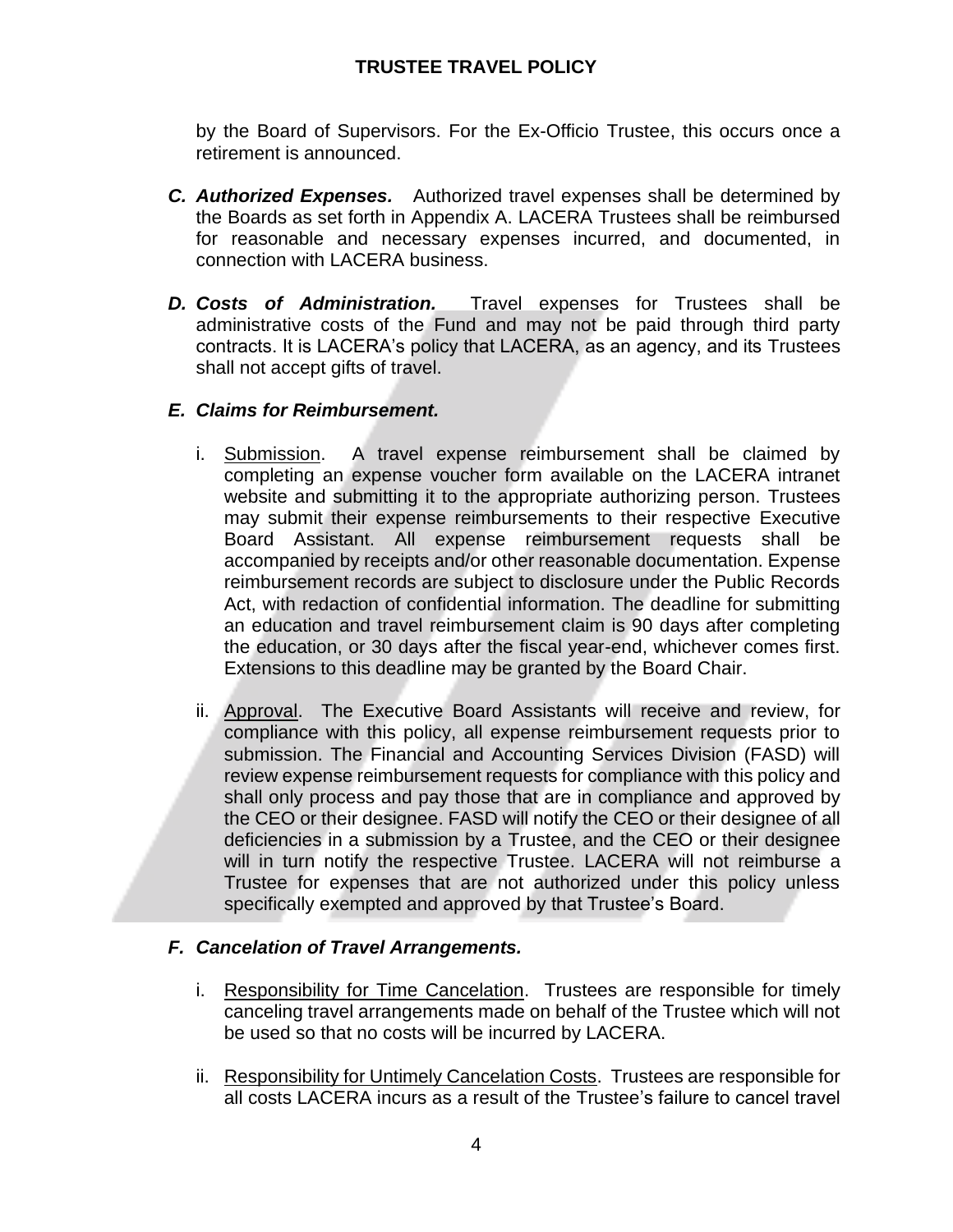by the Board of Supervisors. For the Ex-Officio Trustee, this occurs once a retirement is announced.

- *C. Authorized Expenses.* Authorized travel expenses shall be determined by the Boards as set forth in Appendix A. LACERA Trustees shall be reimbursed for reasonable and necessary expenses incurred, and documented, in connection with LACERA business.
- *D. Costs of Administration.* Travel expenses for Trustees shall be administrative costs of the Fund and may not be paid through third party contracts. It is LACERA's policy that LACERA, as an agency, and its Trustees shall not accept gifts of travel.

## *E. Claims for Reimbursement.*

- i. Submission. A travel expense reimbursement shall be claimed by completing an expense voucher form available on the LACERA intranet website and submitting it to the appropriate authorizing person. Trustees may submit their expense reimbursements to their respective Executive Board Assistant. All expense reimbursement requests shall be accompanied by receipts and/or other reasonable documentation. Expense reimbursement records are subject to disclosure under the Public Records Act, with redaction of confidential information. The deadline for submitting an education and travel reimbursement claim is 90 days after completing the education, or 30 days after the fiscal year-end, whichever comes first. Extensions to this deadline may be granted by the Board Chair.
- ii. Approval. The Executive Board Assistants will receive and review, for compliance with this policy, all expense reimbursement requests prior to submission. The Financial and Accounting Services Division (FASD) will review expense reimbursement requests for compliance with this policy and shall only process and pay those that are in compliance and approved by the CEO or their designee. FASD will notify the CEO or their designee of all deficiencies in a submission by a Trustee, and the CEO or their designee will in turn notify the respective Trustee. LACERA will not reimburse a Trustee for expenses that are not authorized under this policy unless specifically exempted and approved by that Trustee's Board.

## *F. Cancelation of Travel Arrangements.*

- i. Responsibility for Time Cancelation. Trustees are responsible for timely canceling travel arrangements made on behalf of the Trustee which will not be used so that no costs will be incurred by LACERA.
- ii. Responsibility for Untimely Cancelation Costs. Trustees are responsible for all costs LACERA incurs as a result of the Trustee's failure to cancel travel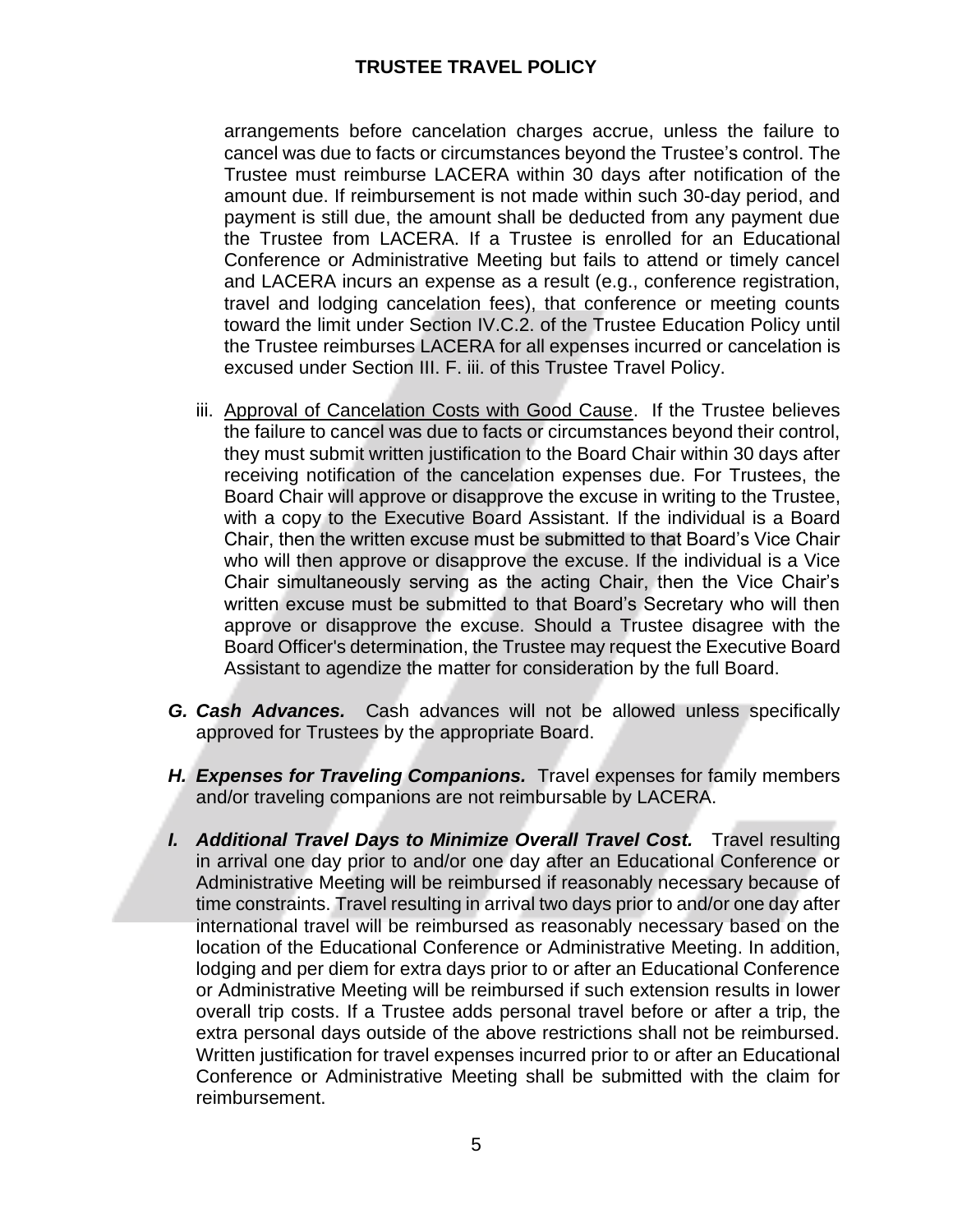arrangements before cancelation charges accrue, unless the failure to cancel was due to facts or circumstances beyond the Trustee's control. The Trustee must reimburse LACERA within 30 days after notification of the amount due. If reimbursement is not made within such 30-day period, and payment is still due, the amount shall be deducted from any payment due the Trustee from LACERA. If a Trustee is enrolled for an Educational Conference or Administrative Meeting but fails to attend or timely cancel and LACERA incurs an expense as a result (e.g., conference registration, travel and lodging cancelation fees), that conference or meeting counts toward the limit under Section IV.C.2. of the Trustee Education Policy until the Trustee reimburses LACERA for all expenses incurred or cancelation is excused under Section III. F. iii. of this Trustee Travel Policy.

- iii. Approval of Cancelation Costs with Good Cause. If the Trustee believes the failure to cancel was due to facts or circumstances beyond their control, they must submit written justification to the Board Chair within 30 days after receiving notification of the cancelation expenses due. For Trustees, the Board Chair will approve or disapprove the excuse in writing to the Trustee, with a copy to the Executive Board Assistant. If the individual is a Board Chair, then the written excuse must be submitted to that Board's Vice Chair who will then approve or disapprove the excuse. If the individual is a Vice Chair simultaneously serving as the acting Chair, then the Vice Chair's written excuse must be submitted to that Board's Secretary who will then approve or disapprove the excuse. Should a Trustee disagree with the Board Officer's determination, the Trustee may request the Executive Board Assistant to agendize the matter for consideration by the full Board.
- *G. Cash Advances.* Cash advances will not be allowed unless specifically approved for Trustees by the appropriate Board.
- *H. Expenses for Traveling Companions.* Travel expenses for family members and/or traveling companions are not reimbursable by LACERA.
- *I. Additional Travel Days to Minimize Overall Travel Cost.* Travel resulting in arrival one day prior to and/or one day after an Educational Conference or Administrative Meeting will be reimbursed if reasonably necessary because of time constraints. Travel resulting in arrival two days prior to and/or one day after international travel will be reimbursed as reasonably necessary based on the location of the Educational Conference or Administrative Meeting. In addition, lodging and per diem for extra days prior to or after an Educational Conference or Administrative Meeting will be reimbursed if such extension results in lower overall trip costs. If a Trustee adds personal travel before or after a trip, the extra personal days outside of the above restrictions shall not be reimbursed. Written justification for travel expenses incurred prior to or after an Educational Conference or Administrative Meeting shall be submitted with the claim for reimbursement.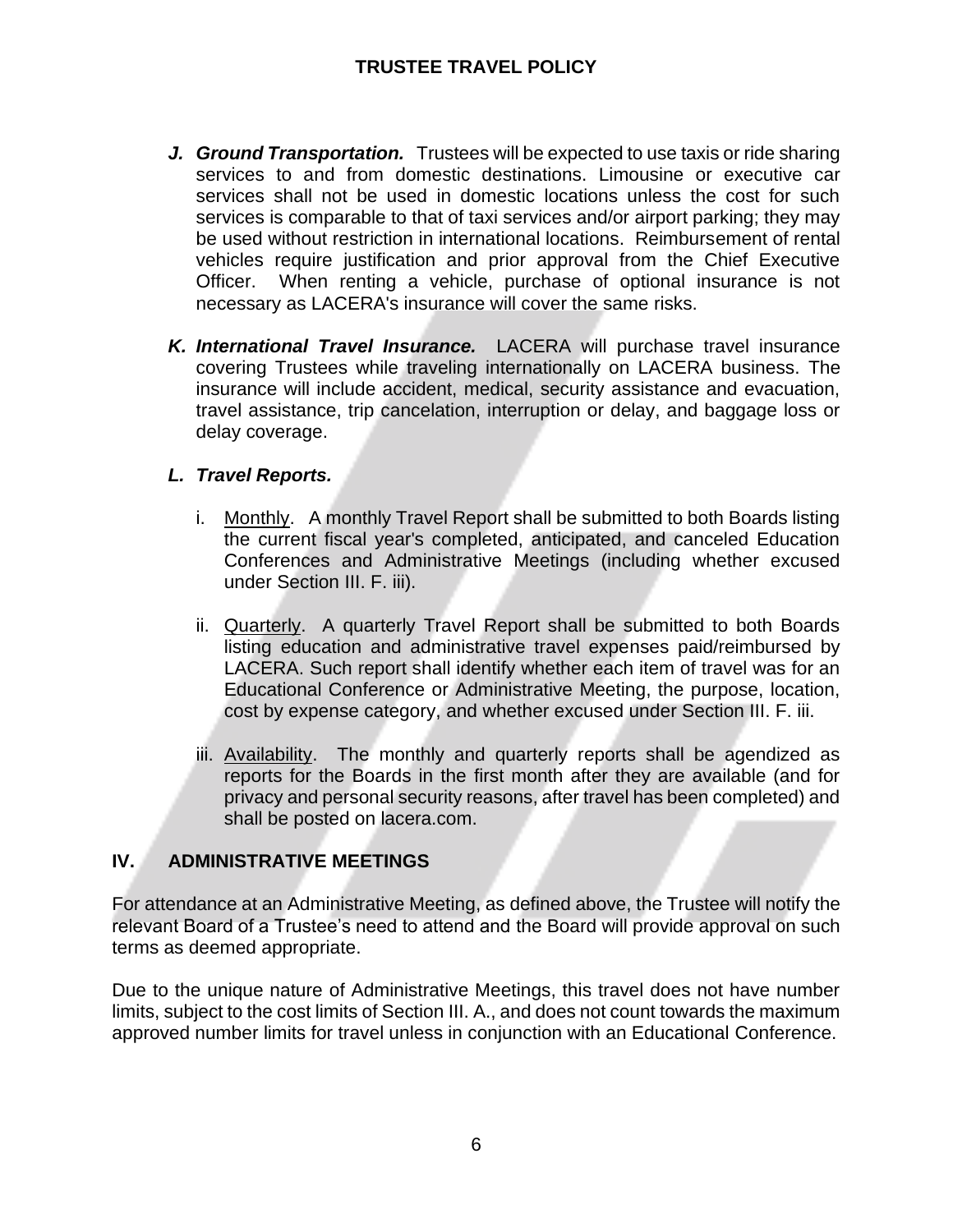- *J. Ground Transportation.* Trustees will be expected to use taxis or ride sharing services to and from domestic destinations. Limousine or executive car services shall not be used in domestic locations unless the cost for such services is comparable to that of taxi services and/or airport parking; they may be used without restriction in international locations. Reimbursement of rental vehicles require justification and prior approval from the Chief Executive Officer. When renting a vehicle, purchase of optional insurance is not necessary as LACERA's insurance will cover the same risks.
- *K. International Travel Insurance.* LACERA will purchase travel insurance covering Trustees while traveling internationally on LACERA business. The insurance will include accident, medical, security assistance and evacuation, travel assistance, trip cancelation, interruption or delay, and baggage loss or delay coverage.

## *L. Travel Reports.*

- i. Monthly. A monthly Travel Report shall be submitted to both Boards listing the current fiscal year's completed, anticipated, and canceled Education Conferences and Administrative Meetings (including whether excused under Section III. F. iii).
- ii. Quarterly. A quarterly Travel Report shall be submitted to both Boards listing education and administrative travel expenses paid/reimbursed by LACERA. Such report shall identify whether each item of travel was for an Educational Conference or Administrative Meeting, the purpose, location, cost by expense category, and whether excused under Section III. F. iii.
- iii. Availability. The monthly and quarterly reports shall be agendized as reports for the Boards in the first month after they are available (and for privacy and personal security reasons, after travel has been completed) and shall be posted on lacera.com.

## **IV. ADMINISTRATIVE MEETINGS**

For attendance at an Administrative Meeting, as defined above, the Trustee will notify the relevant Board of a Trustee's need to attend and the Board will provide approval on such terms as deemed appropriate.

Due to the unique nature of Administrative Meetings, this travel does not have number limits, subject to the cost limits of Section III. A., and does not count towards the maximum approved number limits for travel unless in conjunction with an Educational Conference.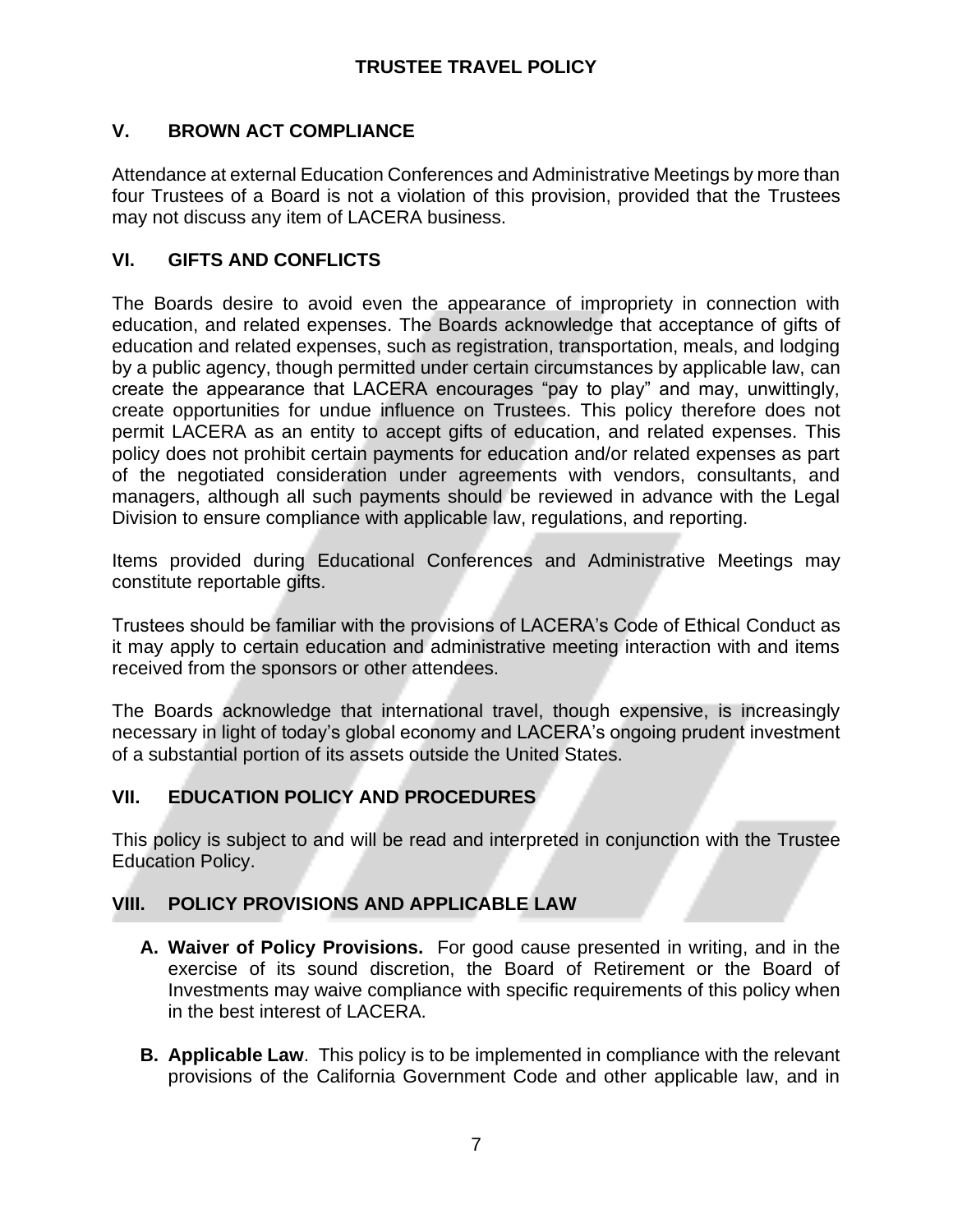# **V. BROWN ACT COMPLIANCE**

Attendance at external Education Conferences and Administrative Meetings by more than four Trustees of a Board is not a violation of this provision, provided that the Trustees may not discuss any item of LACERA business.

# **VI. GIFTS AND CONFLICTS**

The Boards desire to avoid even the appearance of impropriety in connection with education, and related expenses. The Boards acknowledge that acceptance of gifts of education and related expenses, such as registration, transportation, meals, and lodging by a public agency, though permitted under certain circumstances by applicable law, can create the appearance that LACERA encourages "pay to play" and may, unwittingly, create opportunities for undue influence on Trustees. This policy therefore does not permit LACERA as an entity to accept gifts of education, and related expenses. This policy does not prohibit certain payments for education and/or related expenses as part of the negotiated consideration under agreements with vendors, consultants, and managers, although all such payments should be reviewed in advance with the Legal Division to ensure compliance with applicable law, regulations, and reporting.

Items provided during Educational Conferences and Administrative Meetings may constitute reportable gifts.

Trustees should be familiar with the provisions of LACERA's Code of Ethical Conduct as it may apply to certain education and administrative meeting interaction with and items received from the sponsors or other attendees.

The Boards acknowledge that international travel, though expensive, is increasingly necessary in light of today's global economy and LACERA's ongoing prudent investment of a substantial portion of its assets outside the United States.

## **VII. EDUCATION POLICY AND PROCEDURES**

This policy is subject to and will be read and interpreted in conjunction with the Trustee Education Policy.

# **VIII. POLICY PROVISIONS AND APPLICABLE LAW**

- **A. Waiver of Policy Provisions.** For good cause presented in writing, and in the exercise of its sound discretion, the Board of Retirement or the Board of Investments may waive compliance with specific requirements of this policy when in the best interest of LACERA.
- **B. Applicable Law**. This policy is to be implemented in compliance with the relevant provisions of the California Government Code and other applicable law, and in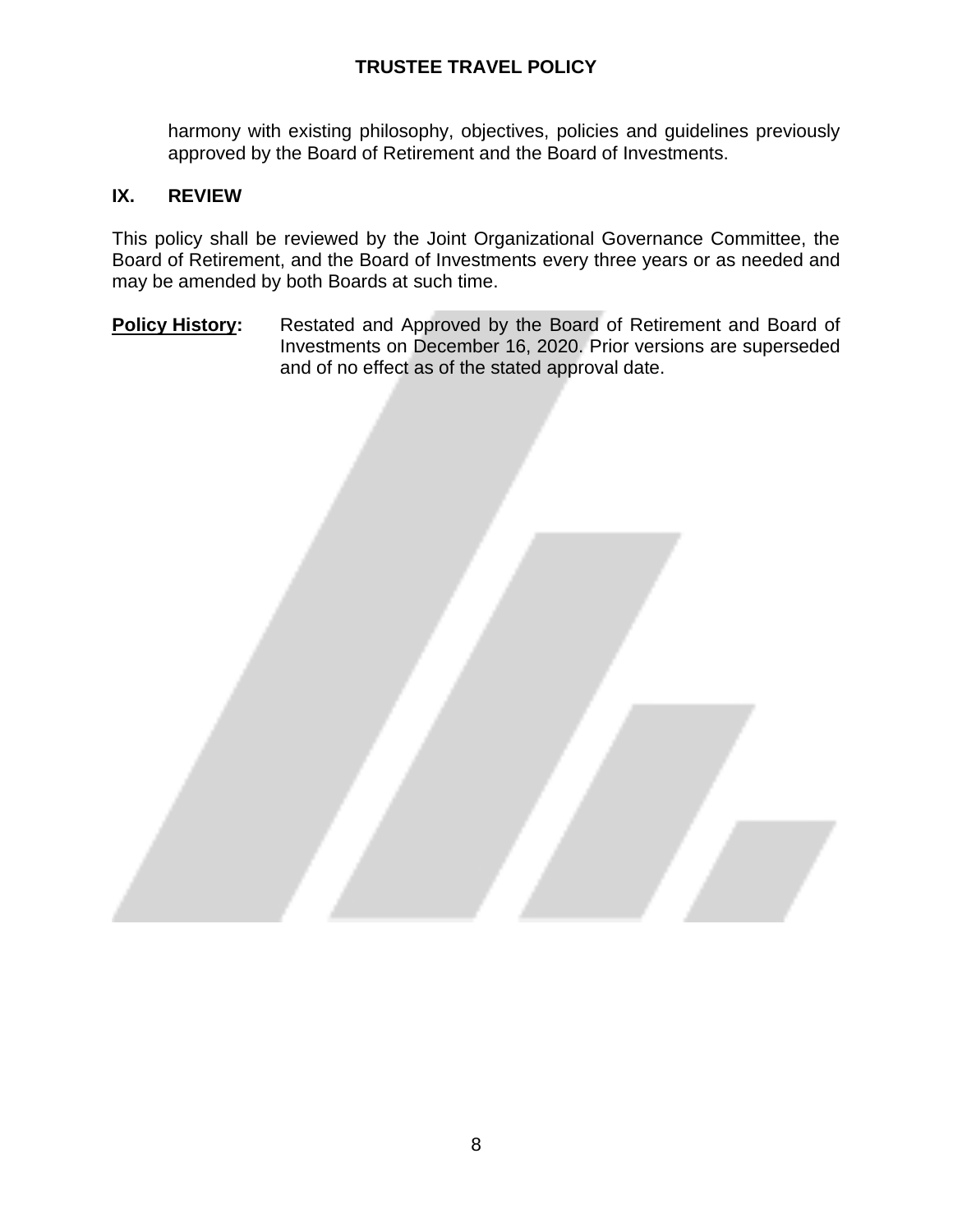harmony with existing philosophy, objectives, policies and guidelines previously approved by the Board of Retirement and the Board of Investments.

## **IX. REVIEW**

This policy shall be reviewed by the Joint Organizational Governance Committee, the Board of Retirement, and the Board of Investments every three years or as needed and may be amended by both Boards at such time.

**Policy History:** Restated and Approved by the Board of Retirement and Board of Investments on December 16, 2020. Prior versions are superseded and of no effect as of the stated approval date.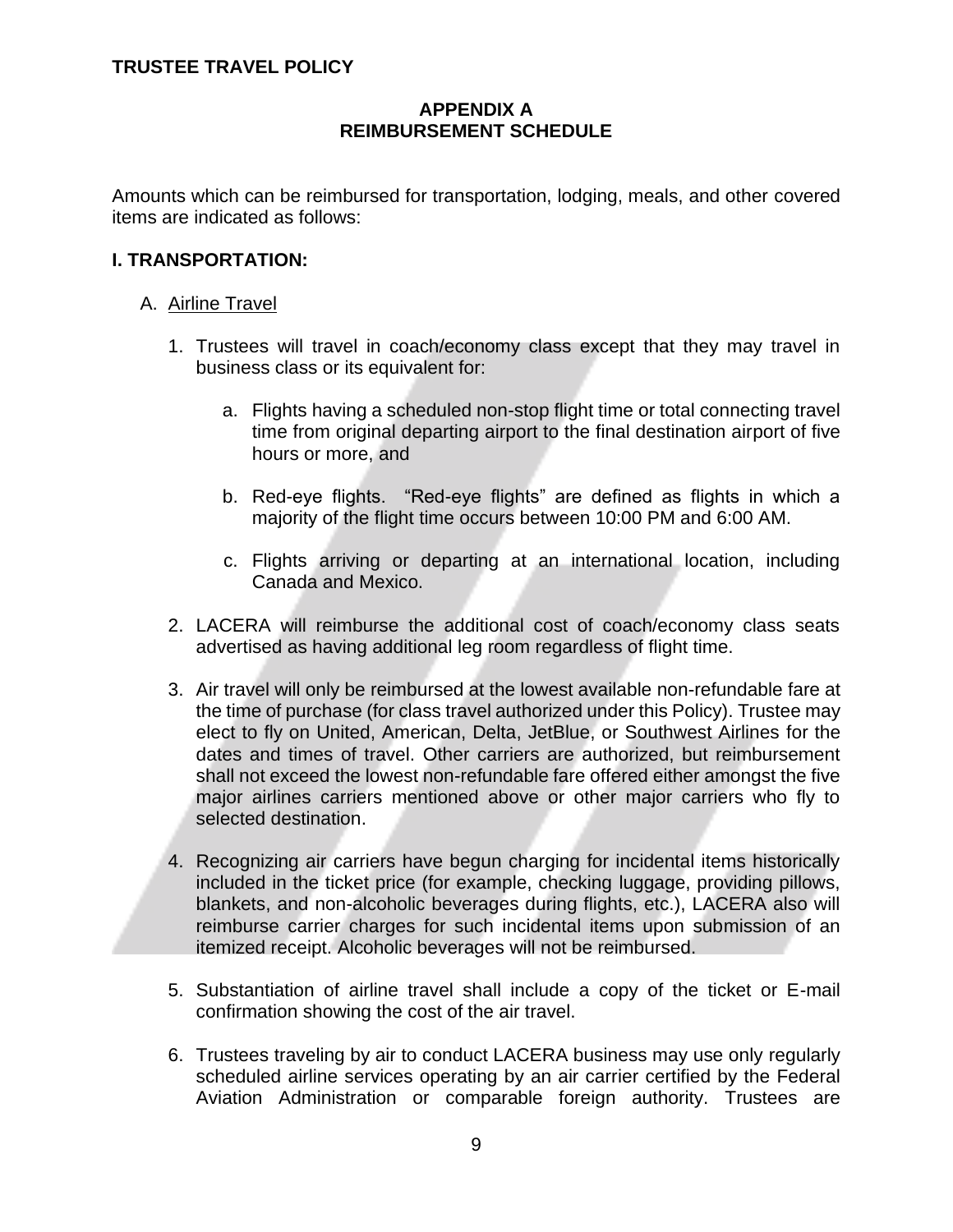## **APPENDIX A REIMBURSEMENT SCHEDULE**

Amounts which can be reimbursed for transportation, lodging, meals, and other covered items are indicated as follows:

## **I. TRANSPORTATION:**

## A. Airline Travel

- 1. Trustees will travel in coach/economy class except that they may travel in business class or its equivalent for:
	- a. Flights having a scheduled non-stop flight time or total connecting travel time from original departing airport to the final destination airport of five hours or more, and
	- b. Red-eye flights. "Red-eye flights" are defined as flights in which a majority of the flight time occurs between 10:00 PM and 6:00 AM.
	- c. Flights arriving or departing at an international location, including Canada and Mexico.
- 2. LACERA will reimburse the additional cost of coach/economy class seats advertised as having additional leg room regardless of flight time.
- 3. Air travel will only be reimbursed at the lowest available non-refundable fare at the time of purchase (for class travel authorized under this Policy). Trustee may elect to fly on United, American, Delta, JetBlue, or Southwest Airlines for the dates and times of travel. Other carriers are authorized, but reimbursement shall not exceed the lowest non-refundable fare offered either amongst the five major airlines carriers mentioned above or other major carriers who fly to selected destination.
- 4. Recognizing air carriers have begun charging for incidental items historically included in the ticket price (for example, checking luggage, providing pillows, blankets, and non-alcoholic beverages during flights, etc.), LACERA also will reimburse carrier charges for such incidental items upon submission of an itemized receipt. Alcoholic beverages will not be reimbursed.
- 5. Substantiation of airline travel shall include a copy of the ticket or E-mail confirmation showing the cost of the air travel.
- 6. Trustees traveling by air to conduct LACERA business may use only regularly scheduled airline services operating by an air carrier certified by the Federal Aviation Administration or comparable foreign authority. Trustees are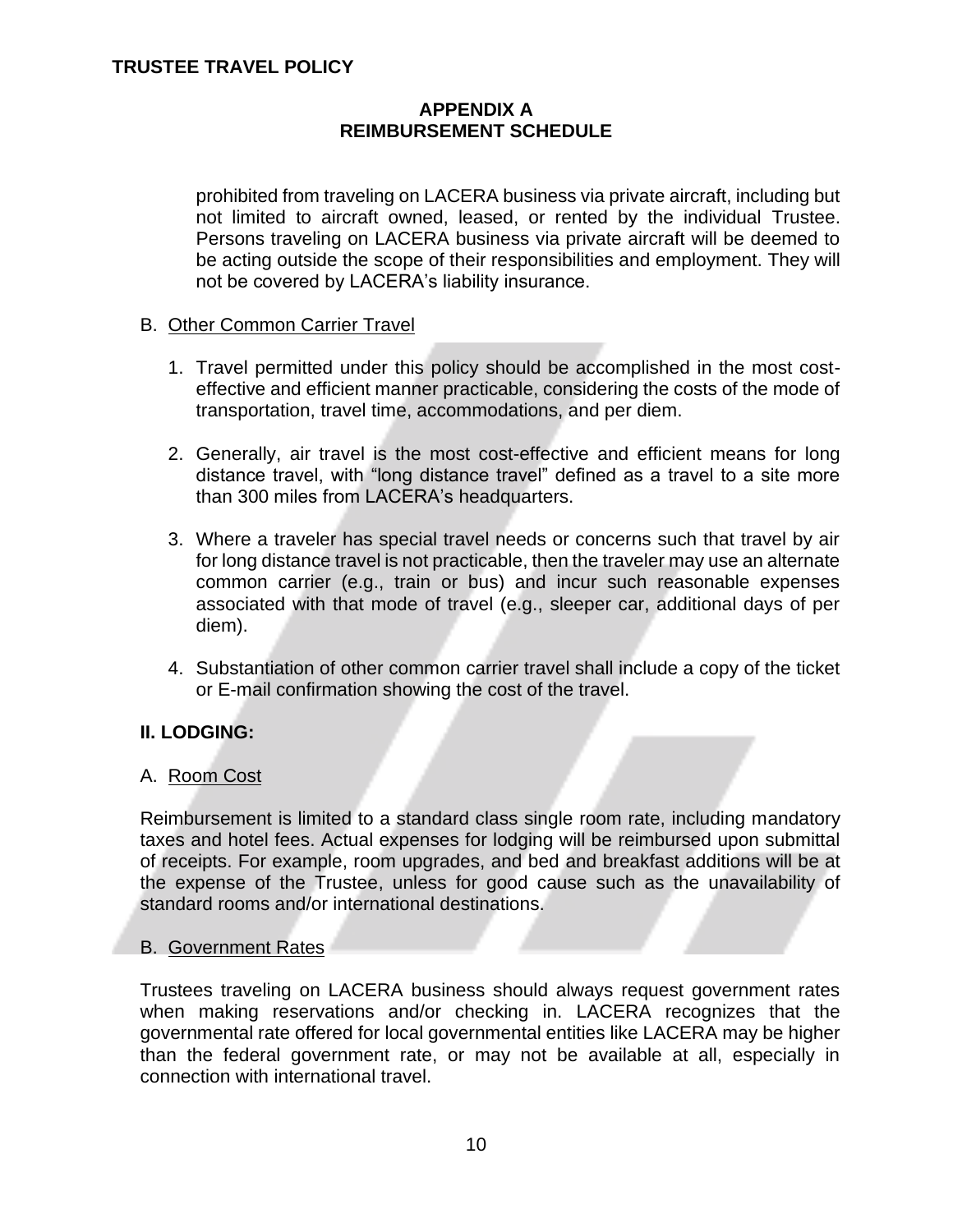## **APPENDIX A REIMBURSEMENT SCHEDULE**

prohibited from traveling on LACERA business via private aircraft, including but not limited to aircraft owned, leased, or rented by the individual Trustee. Persons traveling on LACERA business via private aircraft will be deemed to be acting outside the scope of their responsibilities and employment. They will not be covered by LACERA's liability insurance.

## B. Other Common Carrier Travel

- 1. Travel permitted under this policy should be accomplished in the most costeffective and efficient manner practicable, considering the costs of the mode of transportation, travel time, accommodations, and per diem.
- 2. Generally, air travel is the most cost-effective and efficient means for long distance travel, with "long distance travel" defined as a travel to a site more than 300 miles from LACERA's headquarters.
- 3. Where a traveler has special travel needs or concerns such that travel by air for long distance travel is not practicable, then the traveler may use an alternate common carrier (e.g., train or bus) and incur such reasonable expenses associated with that mode of travel (e.g., sleeper car, additional days of per diem).
- 4. Substantiation of other common carrier travel shall include a copy of the ticket or E-mail confirmation showing the cost of the travel.

## **II. LODGING:**

## A. Room Cost

Reimbursement is limited to a standard class single room rate, including mandatory taxes and hotel fees. Actual expenses for lodging will be reimbursed upon submittal of receipts. For example, room upgrades, and bed and breakfast additions will be at the expense of the Trustee, unless for good cause such as the unavailability of standard rooms and/or international destinations.

## B. Government Rates

Trustees traveling on LACERA business should always request government rates when making reservations and/or checking in. LACERA recognizes that the governmental rate offered for local governmental entities like LACERA may be higher than the federal government rate, or may not be available at all, especially in connection with international travel.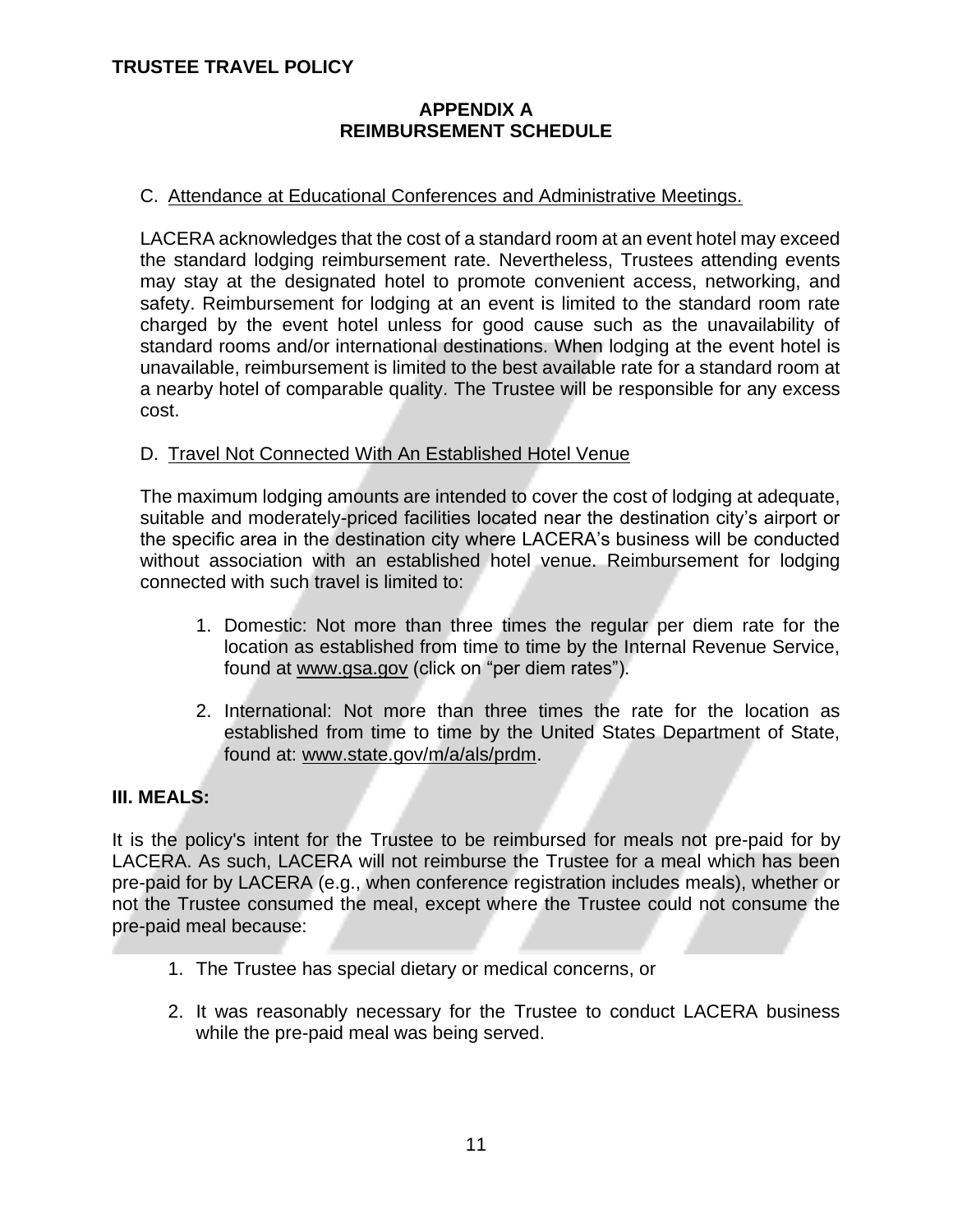## **APPENDIX A REIMBURSEMENT SCHEDULE**

## C. Attendance at Educational Conferences and Administrative Meetings.

LACERA acknowledges that the cost of a standard room at an event hotel may exceed the standard lodging reimbursement rate. Nevertheless, Trustees attending events may stay at the designated hotel to promote convenient access, networking, and safety. Reimbursement for lodging at an event is limited to the standard room rate charged by the event hotel unless for good cause such as the unavailability of standard rooms and/or international destinations. When lodging at the event hotel is unavailable, reimbursement is limited to the best available rate for a standard room at a nearby hotel of comparable quality. The Trustee will be responsible for any excess cost.

## D. Travel Not Connected With An Established Hotel Venue

The maximum lodging amounts are intended to cover the cost of lodging at adequate, suitable and moderately-priced facilities located near the destination city's airport or the specific area in the destination city where LACERA's business will be conducted without association with an established hotel venue. Reimbursement for lodging connected with such travel is limited to:

- 1. Domestic: Not more than three times the regular per diem rate for the location as established from time to time by the Internal Revenue Service, found at [www.gsa.gov](http://www.gsa.gov/) (click on "per diem rates").
- 2. International: Not more than three times the rate for the location as established from time to time by the United States Department of State, found at: [www.state.gov/m/a/als/prdm.](http://www.state.gov/m/a/als/prdm)

## **III. MEALS:**

It is the policy's intent for the Trustee to be reimbursed for meals not pre-paid for by LACERA. As such, LACERA will not reimburse the Trustee for a meal which has been pre-paid for by LACERA (e.g., when conference registration includes meals), whether or not the Trustee consumed the meal, except where the Trustee could not consume the pre-paid meal because:

- 1. The Trustee has special dietary or medical concerns, or
- 2. It was reasonably necessary for the Trustee to conduct LACERA business while the pre-paid meal was being served.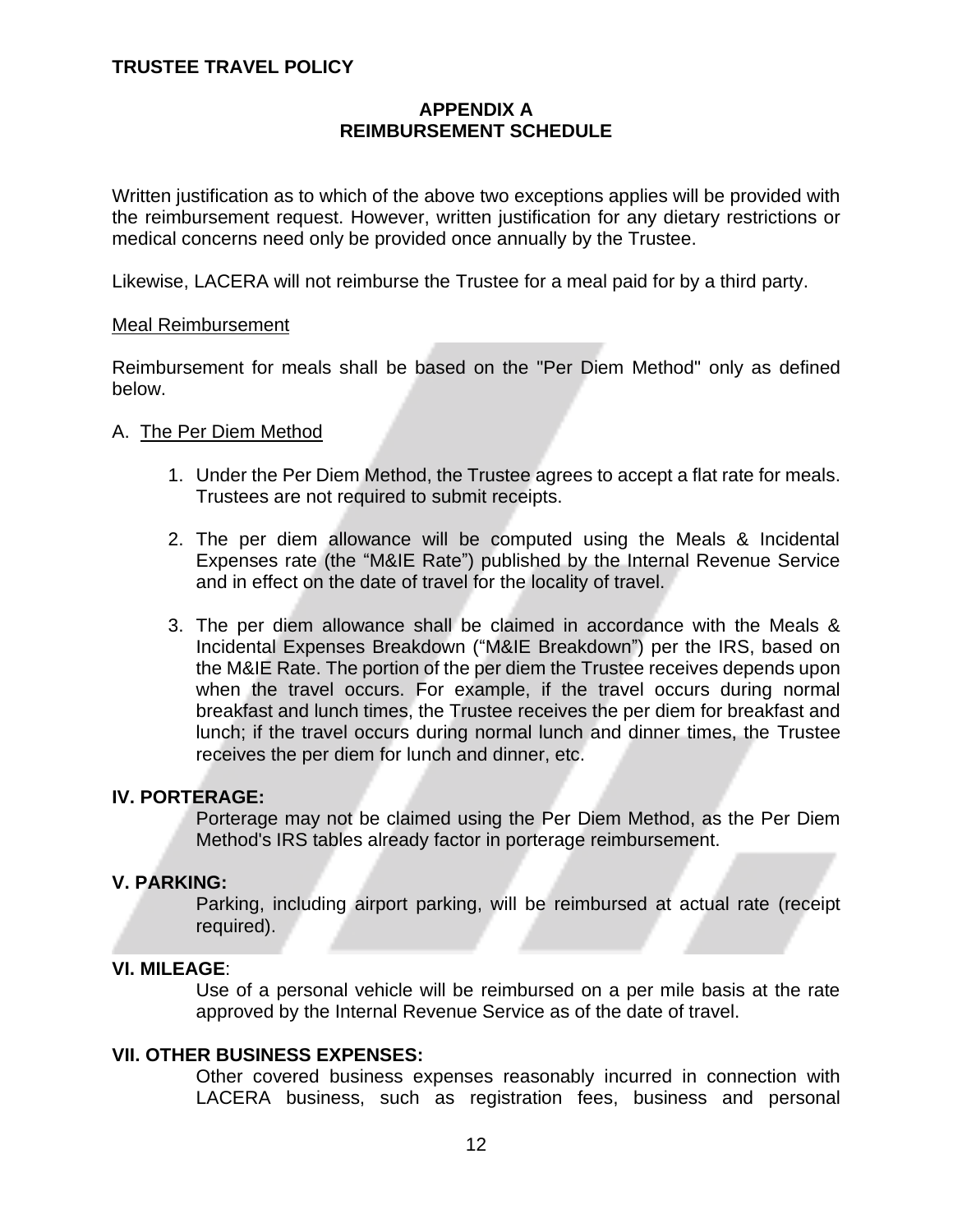## **APPENDIX A REIMBURSEMENT SCHEDULE**

Written justification as to which of the above two exceptions applies will be provided with the reimbursement request. However, written justification for any dietary restrictions or medical concerns need only be provided once annually by the Trustee.

Likewise, LACERA will not reimburse the Trustee for a meal paid for by a third party.

#### Meal Reimbursement

Reimbursement for meals shall be based on the "Per Diem Method" only as defined below.

#### A. The Per Diem Method

- 1. Under the Per Diem Method, the Trustee agrees to accept a flat rate for meals. Trustees are not required to submit receipts.
- 2. The per diem allowance will be computed using the Meals & Incidental Expenses rate (the "M&IE Rate") published by the Internal Revenue Service and in effect on the date of travel for the locality of travel.
- 3. The per diem allowance shall be claimed in accordance with the Meals & Incidental Expenses Breakdown ("M&IE Breakdown") per the IRS, based on the M&IE Rate. The portion of the per diem the Trustee receives depends upon when the travel occurs. For example, if the travel occurs during normal breakfast and lunch times, the Trustee receives the per diem for breakfast and lunch; if the travel occurs during normal lunch and dinner times, the Trustee receives the per diem for lunch and dinner, etc.

#### **IV. PORTERAGE:**

Porterage may not be claimed using the Per Diem Method, as the Per Diem Method's IRS tables already factor in porterage reimbursement.

#### **V. PARKING:**

Parking, including airport parking, will be reimbursed at actual rate (receipt required).

#### **VI. MILEAGE**:

Use of a personal vehicle will be reimbursed on a per mile basis at the rate approved by the Internal Revenue Service as of the date of travel.

#### **VII. OTHER BUSINESS EXPENSES:**

Other covered business expenses reasonably incurred in connection with LACERA business, such as registration fees, business and personal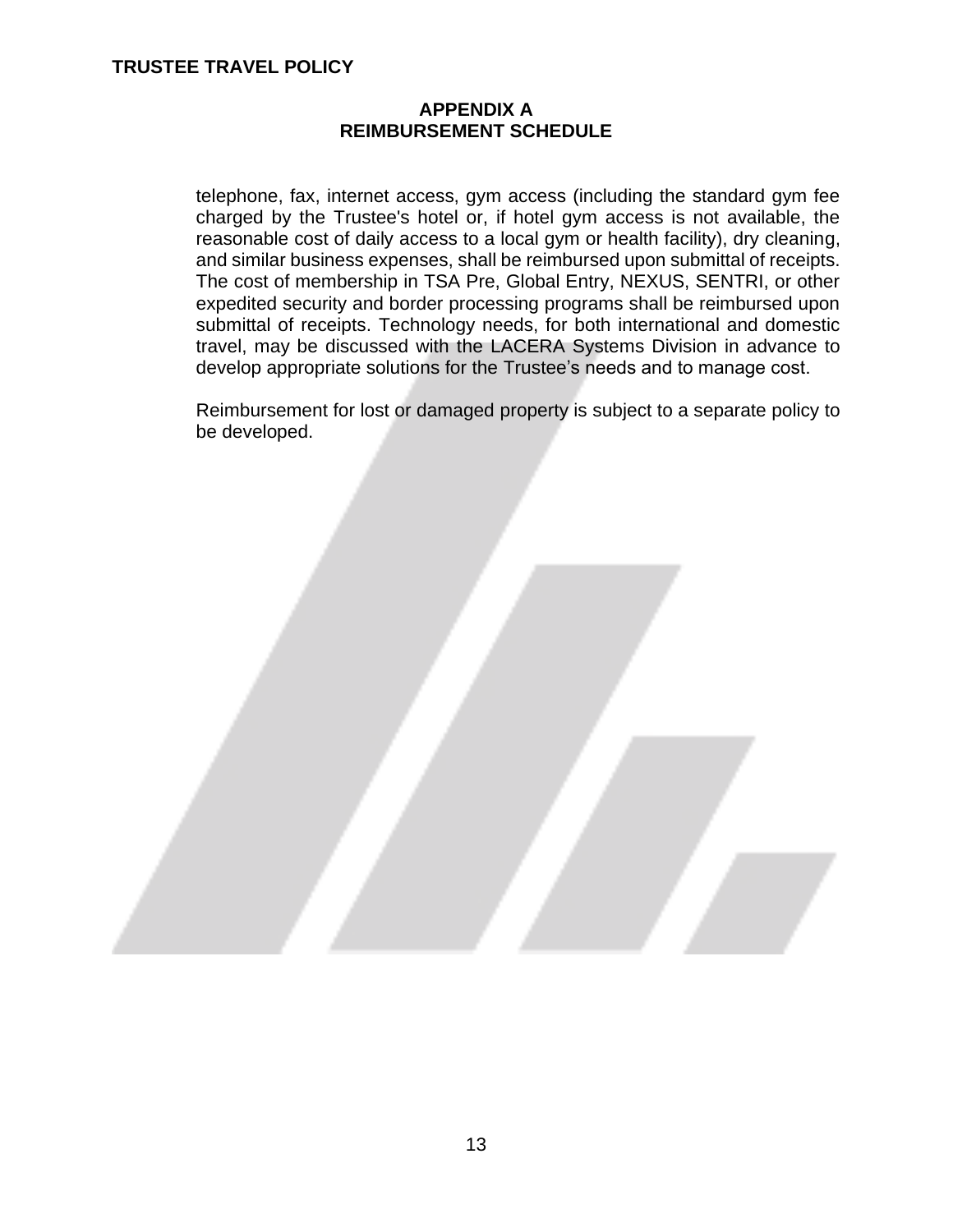#### **APPENDIX A REIMBURSEMENT SCHEDULE**

telephone, fax, internet access, gym access (including the standard gym fee charged by the Trustee's hotel or, if hotel gym access is not available, the reasonable cost of daily access to a local gym or health facility), dry cleaning, and similar business expenses, shall be reimbursed upon submittal of receipts. The cost of membership in TSA Pre, Global Entry, NEXUS, SENTRI, or other expedited security and border processing programs shall be reimbursed upon submittal of receipts. Technology needs, for both international and domestic travel, may be discussed with the LACERA Systems Division in advance to develop appropriate solutions for the Trustee's needs and to manage cost.

Reimbursement for lost or damaged property is subject to a separate policy to be developed.